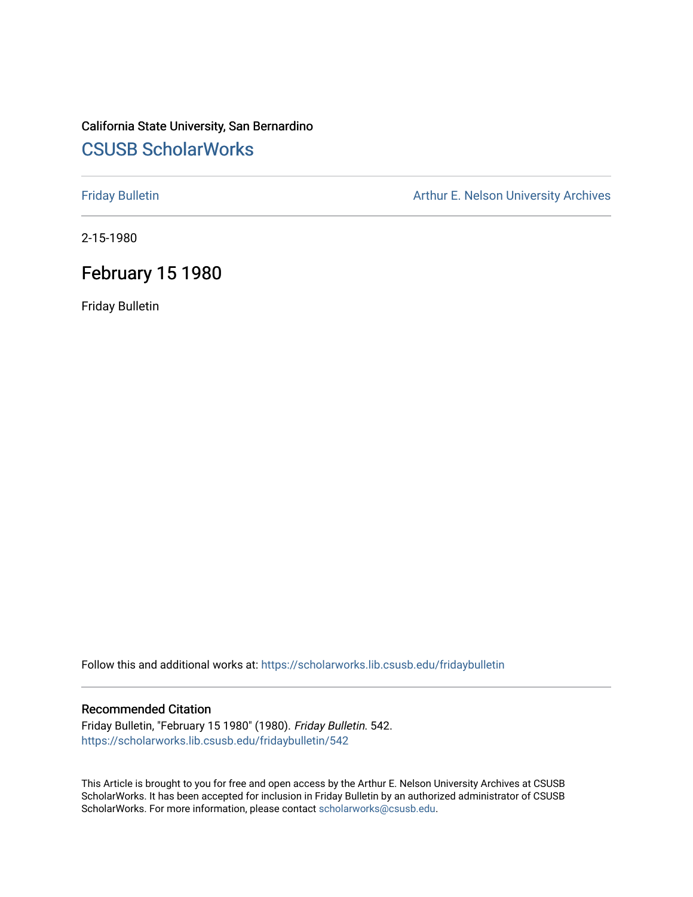## California State University, San Bernardino [CSUSB ScholarWorks](https://scholarworks.lib.csusb.edu/)

[Friday Bulletin](https://scholarworks.lib.csusb.edu/fridaybulletin) **Arthur E. Nelson University Archives** Arthur E. Nelson University Archives

2-15-1980

## February 15 1980

Friday Bulletin

Follow this and additional works at: [https://scholarworks.lib.csusb.edu/fridaybulletin](https://scholarworks.lib.csusb.edu/fridaybulletin?utm_source=scholarworks.lib.csusb.edu%2Ffridaybulletin%2F542&utm_medium=PDF&utm_campaign=PDFCoverPages)

## Recommended Citation

Friday Bulletin, "February 15 1980" (1980). Friday Bulletin. 542. [https://scholarworks.lib.csusb.edu/fridaybulletin/542](https://scholarworks.lib.csusb.edu/fridaybulletin/542?utm_source=scholarworks.lib.csusb.edu%2Ffridaybulletin%2F542&utm_medium=PDF&utm_campaign=PDFCoverPages)

This Article is brought to you for free and open access by the Arthur E. Nelson University Archives at CSUSB ScholarWorks. It has been accepted for inclusion in Friday Bulletin by an authorized administrator of CSUSB ScholarWorks. For more information, please contact [scholarworks@csusb.edu.](mailto:scholarworks@csusb.edu)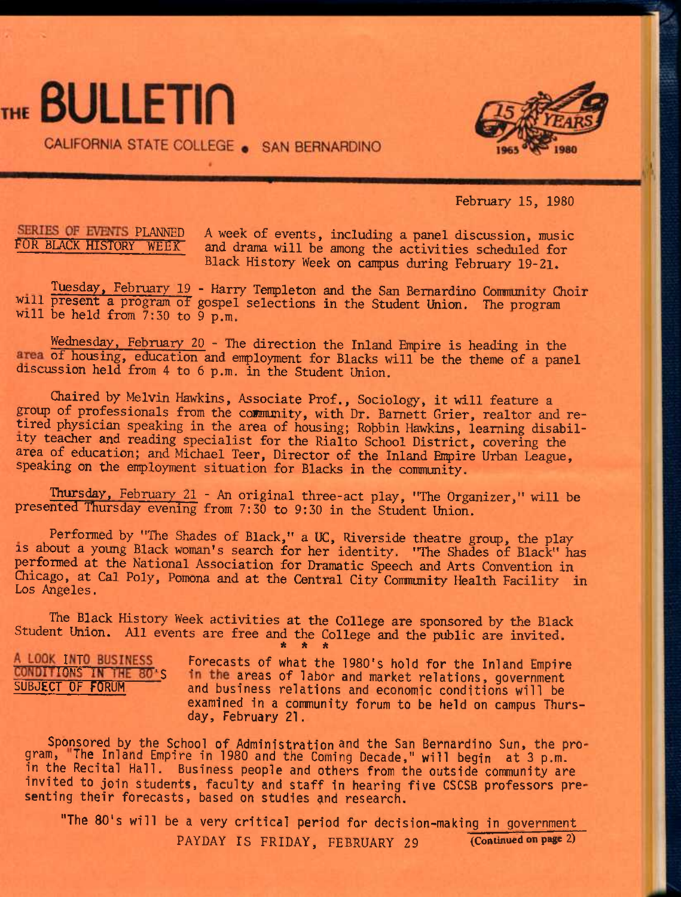# THE BULLETIN

CALIFORNIA STATE COLLEGE . SAN BERNARDINO



February 15, 1980

SERIES OF EVENTS PLANNED A week of events, including a panel discussion, music<br>FOR BLACK HISTORY WEEK and drama will be among the activities scheduled for and drama will be among the activities scheduled for Black History Week on campus during February 19-21.

Tuesday, February 19 - Harry Templeton and the San Bernardino Community Choir will present a program of gospel selections in the Student Union. The program will be held from 7:30 to 9 p.m.

Wednesday, February 20 - The direction the Inland Empire is heading in the area of housing, education and employment for Blacks will be the theme of a panel discussion held from 4 to 6 p.m. in the Student Union.

Chaired by Melvin Hawkins, Associate Prof,, Sociology, it will feature a group of professionals from the community, with Dr. Barnett Grier, realtor and retired physician speaking in the area of housing; Robbin Hawkins, learning disability teacher and reading specialist for the Rialto School District, covering the area of education; and Michael Teer, Director of the Inland Empire Urban League, speaking on the employment situation for Blacks in the community.

Thursday, February 21 - An original three-act play, "The Organizer," will be presented Thursday evening from 7:30 to 9:30 in the Student Union.

Performed by "The Shades of Black," a UC, Riverside theatre group, the play IS about a young Black woman's search for her identity. "The Shades of Black" has performed at the National Association for Dramatic Speech and Arts Convention in Chicago, at Cal Poly, Pomona and at the Central City Community Health Facility in Los Angeles.

The Black History Week activities at the College are sponsored by the Black Student Union. All events are free and the College and the public are invited. **\* \* \*** 

A LOOK INTO BUSINESS Forecasts of what the 1980's hold for the Inland Empire<br>CONDITIONS IN THE 80'S in the areas of labor and market relations, government in the areas of labor and market relations, government SUBJECT OF FORUM and business relations and economic conditions will be examined in a community forum to be held on campus Thursday, February 21.

Sponsored by the School of Administration and the San Bernardino Sun, the program, The Inland Empire in 1980 and the Coming Decade," will begin at 3 p.m. in the Recital Hall. Business people and others from the outside community are invited to join students, faculty and staff in hearing five CSCSB professors presenting their forecasts, based on studies and research.

"The 80's will be a very critical period for decision-making in government PAYDAY IS FRIDAY, FEBRUARY 29 (Continued on **page** 2)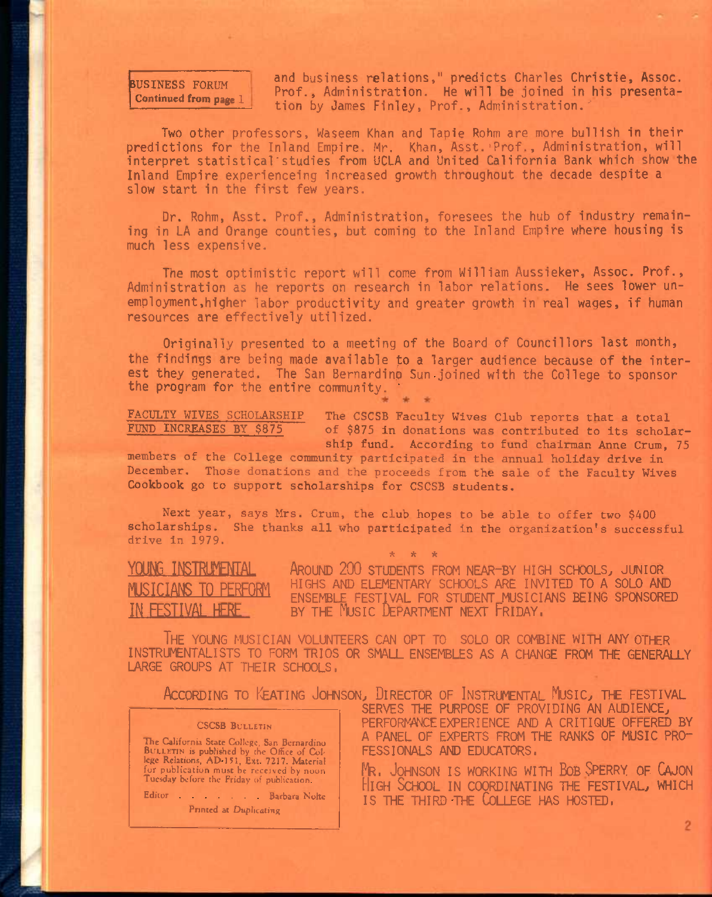## BUSINESS FORUM **Continued from page 1**

and business relations," predicts Charles Christie, Assoc. Prof., Administration. He will be joined in his presentation by James Finley, Prof., Administration."

Two other professors, Waseem Khan and Tapie Rohm are more bullish in their predictions for the Inland Empire. Mr, Khan, Asst.'Prof., Administration, will interpret statistical'studies from UCLA and United California Bank which show the Inland Empire experienceing increased growth throughout the decade despite a slow start in the first few years.

Dr. Rohm, Asst. Prof., Administration, foresees the hub of industry remaining in LA and Orange counties, but coming to the Inland Empire where housing is much less expensive.

The most optimistic report will come from William Aussieker, Assoc. Prof., Administration as he reports on research in labor relations. He sees lower unemployment, higher labor productivity and greater growth in real wages, if human resources are effectively utilized.

Originally presented to a meeting of the Board of Councillors last month, the findings are being made available to a larger audience because of the interest they generated. The San Bernardino Sun joined with the College to sponsor the program for the entire community. '

FACULTY WIVES SCHOLARSHIP FUND INCREASES BY \$875 The CSCSB Faculty Wives Club reports that a total of \$875 in donations was contributed to its scholarship fund. According to fund chairman Anne Crum, 75

members of the College community participated in the annual holiday drive in December. Those donations and the proceeds from the sale of the Faculty Wives Cookbook go to support scholarships for CSCSB students.

Next year, says Mrs. Crum, the club hopes to be able to offer two \$400 scholarships. She thanks all who participated in the organization's successful drive in 1979.

**\* \* \*** 

YOUNG INSTRUMENTAL AROUND 200 STUDENTS FROM NEAR-BY HIGH SCHOOLS, JUNIOR HIGHS AND ELEMENTARY SCHOOLS ARE INVITED TO A SOLO AND ENSEMBLE FESTIVAL FOR STUDENT MUSICIANS BEING SPONSORED BY THE MUSIC DEPARTMENT NEXT FRIDAY.

The young musician volunteers can opt to solo or combine with any other instrumentalists to form trios or small ensembles as a change rom the generally LARGE GROUPS AT THEIR SCHOOLS,

|                                                                                                                                                                                                                                                                                                                | ACCORDING TO KEATING JOHNSON, DIRECTOR OF INSTRUMENTAL MUSIC, THE FESTIVAL<br>SERVES THE PURPOSE OF PROVIDING AN AUDIENCE,                                                                                                                                                     |
|----------------------------------------------------------------------------------------------------------------------------------------------------------------------------------------------------------------------------------------------------------------------------------------------------------------|--------------------------------------------------------------------------------------------------------------------------------------------------------------------------------------------------------------------------------------------------------------------------------|
| <b>CSCSB BULLETIN</b><br>The California State College, San Bernardino<br>BULLETIN is published by the Office of Col-<br>lege Relations, AD 151, Ext. 7217. Material<br>for publication must be received by noon.<br>Tuesday before the Friday of publication<br>Editor Barbara Notte<br>Printed at Duplicating | PERFORMANCE EXPERIENCE AND A CRITIQUE OFFERED BY<br>A PANEL OF EXPERTS FROM THE RANKS OF MUSIC PRO-<br>FESSIONALS AND EDUCATORS,<br>MR. JOHNSON IS WORKING WITH BOB SPERRY OF CAJON<br>HIGH SCHOOL IN COORDINATING THE FESTIVAL, WHICH<br>IS THE THIRD THE COLLEGE HAS HOSTED. |
|                                                                                                                                                                                                                                                                                                                |                                                                                                                                                                                                                                                                                |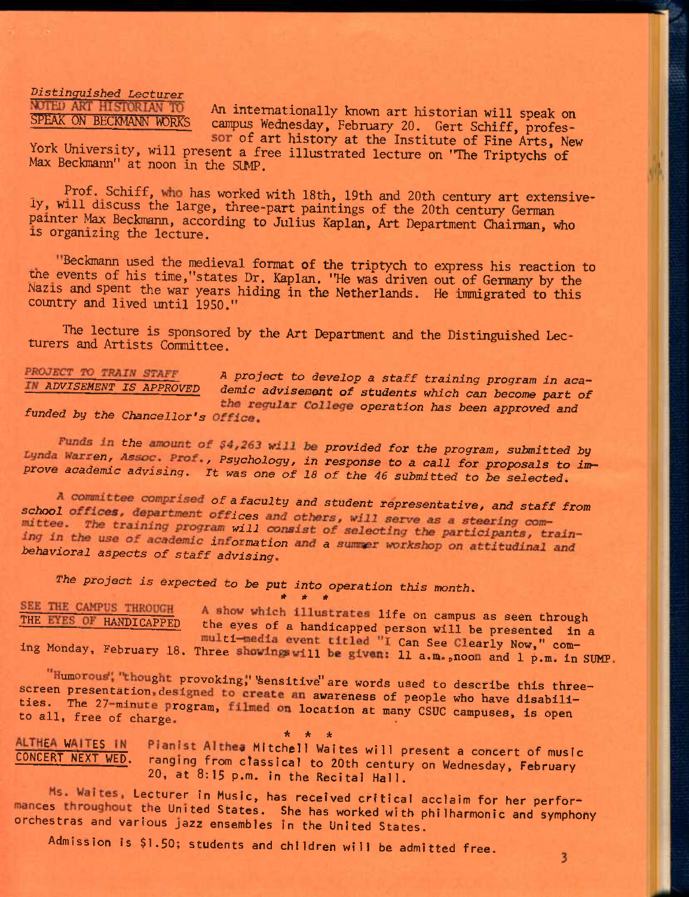*Distinguished Lecturer* **NOTED ANT HISTORIAN TO** 

An internationally known art historian will speak on SPEAK ON BECKMANN WORKS campus Wednesday, February 20. Gert Schiff, profes-

SOT Of art history at the Institute of Fine Arts, New York University, will present a free illustrated lecture on "The Triptychs of Max Beckmann" at noon in the SUMP.

Prof. Schiff, who has worked with 18th, 19th and 20th century art extensively, will discuss the large, three-part paintings of the 20th century German painter Max Beckmann, according to Julius Kaplan, Art Department Chairman, who IS organizing the lecture.

"Beckmann used the medieval format of the triptych to express his reaction to me events of his time,"states Dr. Kaplan. "He was driven out of Germany by the Mazis and spent the war years hiding in the Netherlands. He immigrated to this country and lived until 1950."

The lecture is sponsored by the Art Department and the Distinguished Lecturers and Artists Committee.

PROJECT TO TRAIN STAFF *A project to develop a staff training program in aca-ADVISEMENT IS APPROVED demic advisement of students which can become part of the regular College operation has been approved and funded by the Chancellor's Office.* 

*Funds in the amount of \$4,263 will be provided for the program, submitted by pynda Warren, Assoc. Prof., Psychology, in response to a call for proposals to improve academic advising. It was one of 18 of the 46 submitted to be selected,* 

*school of a faculty and student representative, and staff from*  mittee. The training program will consist of selecting the participants, train-<br>ing in the use of academic information and a summer workshop on attitudinal and *behavioral aspects of staff advising* 

*The project is expected to be put into operation this month. \* \* \** 

SEE THE CAMPUS THROUGH A show which illustrates life on campus as seen through<br>THE EYES OF HANDICAPPED the eyes of a handicapped person will be seen through the eyes of a handicapped person will be presented in a multi-media event titled "I Can See Clearly Now," coming Monday, February 18. Three showings will be given: 11 a.m., noon and 1 p.m. in SUMP.

"Humorous", "thought provoking," "sensitive" are words used to describe this threescreen presentation, designed to create an awareness of people who have disabili-<br>ties. The 27-minute program, filmed on location at many CSUC campuses, is open<br>to all, free of charge. ties. The 27-minute program, filmed on location at many CSUC campuses, is open

**\* \* \***  CONCFRT NEXT WED MORE FILLED MITCHELL WAITES WILL present a concert of music LONLERT NEXT WED. ranging from cTassIcal to 20th century on Wednesday, February 20, at 8:15 p.m. in the Recital Hall.

Ms. Waites, Lecturer in Music, has received critical acclaim for her performances throughout the United States. She has worked with philharmonic and symphony orchestras and various jazz ensembles in the United States.

 $\overline{\mathbf{3}}$ 

Admission is \$1.50; students and children will be admitted free.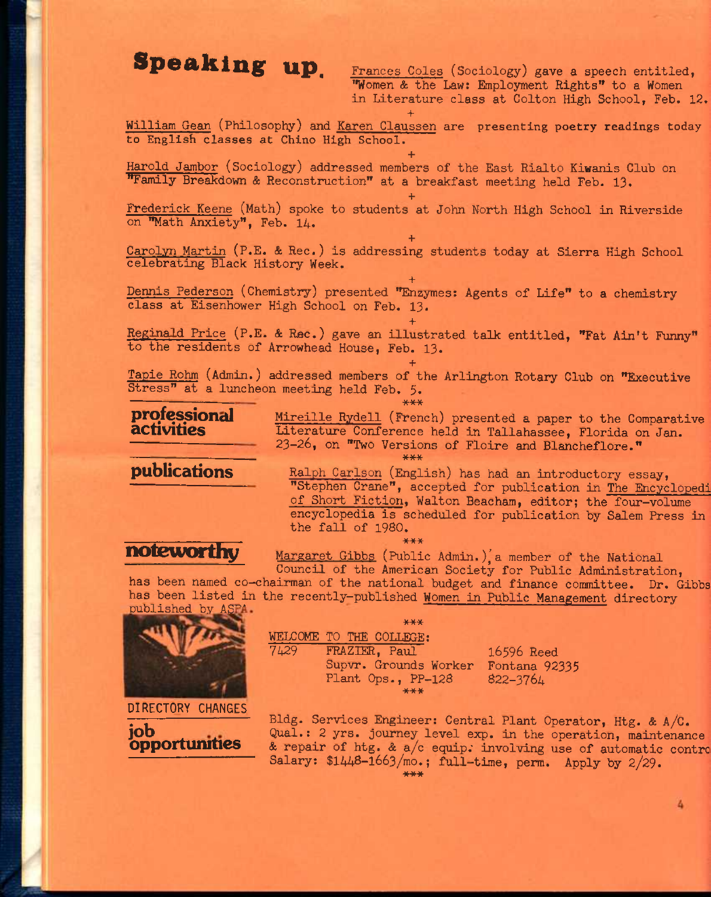**speaking up.** Frances Coles (Sociology) gave a speech entitled, \*'Women & the Law: Employment Rights" to a Women in Literature class at Colton High School, Feb. 12.

+ William Gean (Philosophy) and <u>Karen Claussen</u> are presenting poetry readings today to English classes at Chino High School.

**+**  Harold Jambor (Sociology) addressed members of the East Rialto Kiwanis Club on "Family Breakdown & Reconstruction" at a breakfast meeting held Feb. 13.

**+**  Frederick Keene (Math) spoke to students at John North High School in Riverside on "Math Anxiety", Feb. 14.

**+**  Carolyn Martin (P.E. & Rec.) is addressing students today at Sierra High School celebrating Black History Week.

**+**  Dennis Pederson (Chemistry) presented "Enzymes: Agents of Life" to a chemistry class at Eisenhower High School on Feb. 13.

**+**  Reginald Price (P.E. & Rec.) gave an illustrated talk entitled, "Fat Ain't Funny" to the residents of Arrowhead House, Feb. 13.

**+**  Tapie Rohm (Admin.) addressed members of the Arlington Rotary Club on "Executive Stress" at a luncheon meeting held Feb. 5.  $***$ 

\*\*\*

**professional activities** 

Mireille Rydell (French) presented a paper to the Comparative Literature Conference held in Tallahassee, Florida on Jan. 23-26, on "Two Versions of Floire and Blancheflore."

**publications** 

Ralph Carlson (English) has had an introductory essay, "Stephen Crane", accepted for publication in The Encyclopedi of Short Fiction, Walton Beacham, editor; the four-volume encyclopedia is scheduled for publication by Salem Press in the fall of 1980. \*\*\*

noteworthy

Margaret Gibbs (Public Admin.), a member of the National Council of the American Society for Public Administration,

has been named co-chairman of the national budget and finance committee. Dr. Gibbs has been listed in the recently-published Women in Public Management directory published by ASPA.



**job opportunities** 

### \*\*\* WELCOME TO THE COLLEGE: 7A29 FRAZIEE, Paul Supvr. Grounds Worker Fontana 92335 Plant Ops., PP-128 16596 Reed 822-3764 \*\*\*

Bldg. Services Engineer: Central Plant Operator, Htg. & A/C. Qual.: 2 yrs. journey level exp. in the operation, maintenance & repair of htg. & a/c equip. involving use of automatic contro Salary:  $$1448-1663/mol$ ; full-time, perm. Apply by  $2/29$ .